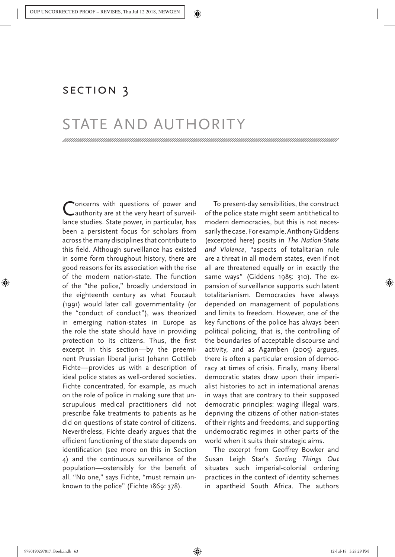Monahan, Torin, and David Murakami Wood. 2018. State and Authority. In Surveillance Studies: A Reader, edited by T. Monahan and D. Murakami Wood. New York: Oxford University Press, 63-66.

## SECTION 3

## STATE AND AUTHORITY

concerns with questions of power and authority are at the very heart of surveillance studies. State power, in particular, has been a persistent focus for scholars from across the many disciplines that contribute to this field. Although surveillance has existed in some form throughout history, there are good reasons for its association with the rise of the modern nation-state. The function of the "the police," broadly understood in the eighteenth century as what Foucault (1991) would later call governmentality (or the "conduct of conduct"), was theorized in emerging nation-states in Europe as the role the state should have in providing protection to its citizens. Thus, the first excerpt in this section—by the preeminent Prussian liberal jurist Johann Gottlieb Fichte—provides us with a description of ideal police states as well-ordered societies. Fichte concentrated, for example, as much on the role of police in making sure that unscrupulous medical practitioners did not prescribe fake treatments to patients as he did on questions of state control of citizens. Nevertheless, Fichte clearly argues that the efficient functioning of the state depends on identification (see more on this in Section 4) and the continuous surveillance of the population—ostensibly for the benefit of all. "No one," says Fichte, "must remain unknown to the police" (Fichte 1869: 378).

To present-day sensibilities, the construct of the police state might seem antithetical to modern democracies, but this is not necessarily the case. For example, Anthony Giddens (excerpted here) posits in *The Nation-State and Violence*, "aspects of totalitarian rule are a threat in all modern states, even if not all are threatened equally or in exactly the same ways" (Giddens 1985: 310). The expansion of surveillance supports such latent totalitarianism. Democracies have always depended on management of populations and limits to freedom. However, one of the key functions of the police has always been political policing, that is, the controlling of the boundaries of acceptable discourse and activity, and as Agamben (2005) argues, there is often a particular erosion of democracy at times of crisis. Finally, many liberal democratic states draw upon their imperialist histories to act in international arenas in ways that are contrary to their supposed democratic principles: waging illegal wars, depriving the citizens of other nation-states of their rights and freedoms, and supporting undemocratic regimes in other parts of the world when it suits their strategic aims.

The excerpt from Geoffrey Bowker and Susan Leigh Star's *Sorting Things Out* situates such imperial-colonial ordering practices in the context of identity schemes in apartheid South Africa. The authors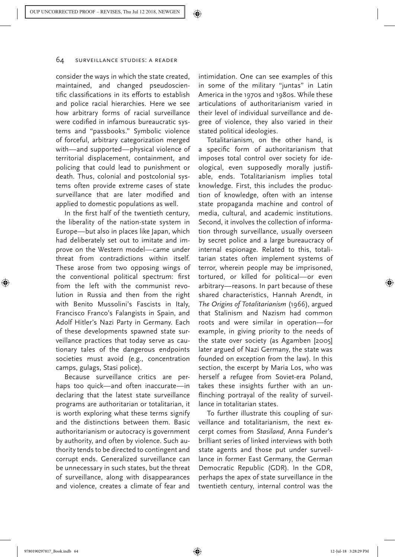consider the ways in which the state created, maintained, and changed pseudoscientific classifications in its efforts to establish and police racial hierarchies. Here we see how arbitrary forms of racial surveillance were codified in infamous bureaucratic systems and "passbooks." Symbolic violence of forceful, arbitrary categorization merged with—and supported—physical violence of territorial displacement, containment, and policing that could lead to punishment or death. Thus, colonial and postcolonial systems often provide extreme cases of state surveillance that are later modified and applied to domestic populations as well.

In the first half of the twentieth century, the liberality of the nation-state system in Europe—but also in places like Japan, which had deliberately set out to imitate and improve on the Western model—came under threat from contradictions within itself. These arose from two opposing wings of the conventional political spectrum: first from the left with the communist revolution in Russia and then from the right with Benito Mussolini's Fascists in Italy, Francisco Franco's Falangists in Spain, and Adolf Hitler's Nazi Party in Germany. Each of these developments spawned state surveillance practices that today serve as cautionary tales of the dangerous endpoints societies must avoid (e.g., concentration camps, gulags, Stasi police).

Because surveillance critics are perhaps too quick—and often inaccurate—in declaring that the latest state surveillance programs are authoritarian or totalitarian, it is worth exploring what these terms signify and the distinctions between them. Basic authoritarianism or autocracy is government by authority, and often by violence. Such authority tends to be directed to contingent and corrupt ends. Generalized surveillance can be unnecessary in such states, but the threat of surveillance, along with disappearances and violence, creates a climate of fear and

intimidation. One can see examples of this in some of the military "juntas" in Latin America in the 1970s and 1980s. While these articulations of authoritarianism varied in their level of individual surveillance and degree of violence, they also varied in their stated political ideologies.

Totalitarianism, on the other hand, is a specific form of authoritarianism that imposes total control over society for ideological, even supposedly morally justifiable, ends. Totalitarianism implies total knowledge. First, this includes the production of knowledge, often with an intense state propaganda machine and control of media, cultural, and academic institutions. Second, it involves the collection of information through surveillance, usually overseen by secret police and a large bureaucracy of internal espionage. Related to this, totalitarian states often implement systems of terror, wherein people may be imprisoned, tortured, or killed for political—or even arbitrary—reasons. In part because of these shared characteristics, Hannah Arendt, in *The Origins of Totalitarianism* (1966), argued that Stalinism and Nazism had common roots and were similar in operation—for example, in giving priority to the needs of the state over society (as Agamben [2005] later argued of Nazi Germany, the state was founded on exception from the law). In this section, the excerpt by Maria Los, who was herself a refugee from Soviet-era Poland, takes these insights further with an unflinching portrayal of the reality of surveillance in totalitarian states.

To further illustrate this coupling of surveillance and totalitarianism, the next excerpt comes from *Stasiland*, Anna Funder's brilliant series of linked interviews with both state agents and those put under surveillance in former East Germany, the German Democratic Republic (GDR). In the GDR, perhaps the apex of state surveillance in the twentieth century, internal control was the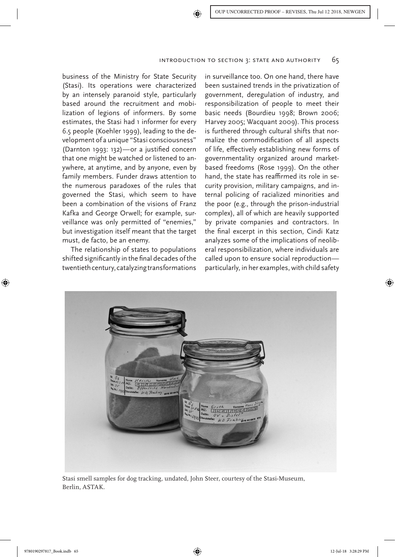business of the Ministry for State Security (Stasi). Its operations were characterized by an intensely paranoid style, particularly based around the recruitment and mobilization of legions of informers. By some estimates, the Stasi had 1 informer for every 6.5 people (Koehler 1999), leading to the development of a unique "Stasi consciousness" (Darnton 1993: 132)—or a justified concern that one might be watched or listened to anywhere, at anytime, and by anyone, even by family members. Funder draws attention to the numerous paradoxes of the rules that governed the Stasi, which seem to have been a combination of the visions of Franz Kafka and George Orwell; for example, surveillance was only permitted of "enemies," but investigation itself meant that the target must, de facto, be an enemy.

The relationship of states to populations shifted significantly in the final decades of the twentieth century, catalyzing transformations

in surveillance too. On one hand, there have been sustained trends in the privatization of government, deregulation of industry, and responsibilization of people to meet their basic needs (Bourdieu 1998; Brown 2006; Harvey 2005; Wacquant 2009). This process is furthered through cultural shifts that normalize the commodification of all aspects of life, effectively establishing new forms of governmentality organized around marketbased freedoms (Rose 1999). On the other hand, the state has reaffirmed its role in security provision, military campaigns, and internal policing of racialized minorities and the poor (e.g., through the prison-industrial complex), all of which are heavily supported by private companies and contractors. In the final excerpt in this section, Cindi Katz analyzes some of the implications of neoliberal responsibilization, where individuals are called upon to ensure social reproduction particularly, in her examples, with child safety



Stasi smell samples for dog tracking, undated, John Steer, courtesy of the Stasi-Museum, Berlin, ASTAK.